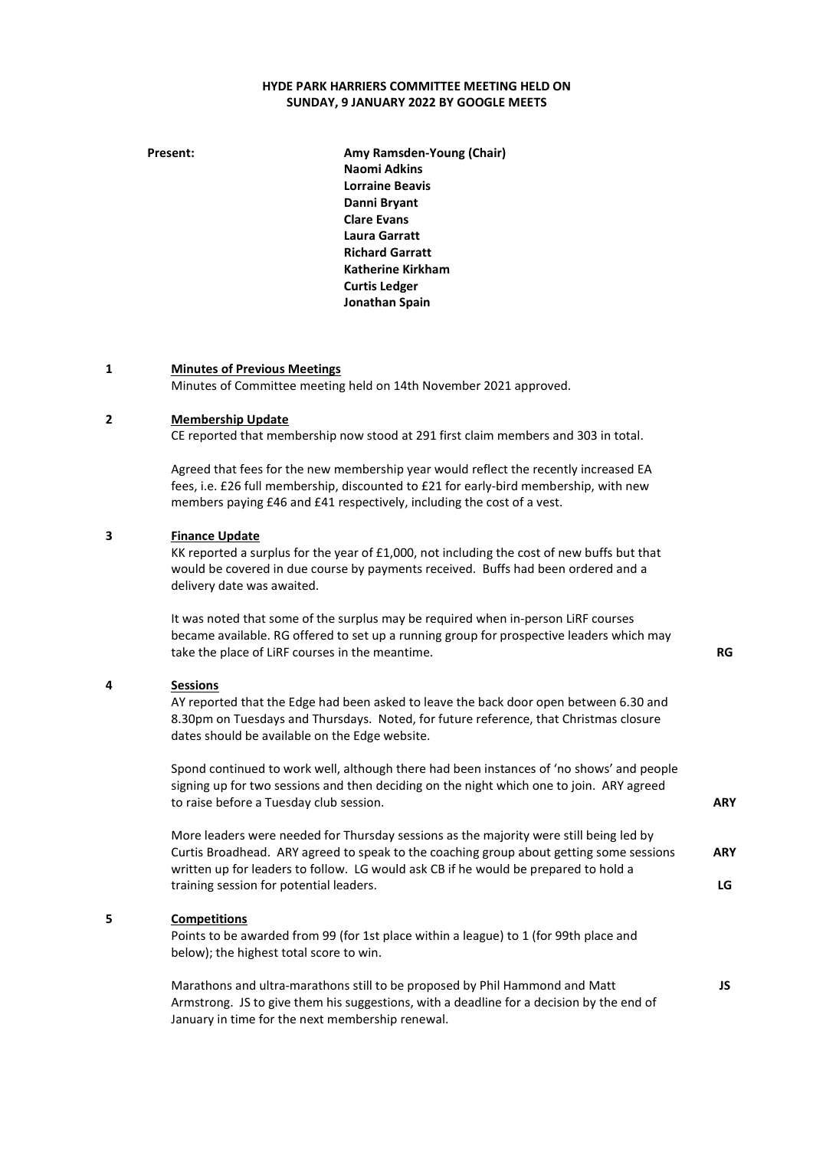# HYDE PARK HARRIERS COMMITTEE MEETING HELD ON SUNDAY, 9 JANUARY 2022 BY GOOGLE MEETS

Present: **Amy Ramsden-Young (Chair)** Naomi Adkins Lorraine Beavis Danni Bryant Clare Evans Laura Garratt Richard Garratt Katherine Kirkham Curtis Ledger Jonathan Spain

### 1 Minutes of Previous Meetings

Minutes of Committee meeting held on 14th November 2021 approved.

#### 2 Membership Update

CE reported that membership now stood at 291 first claim members and 303 in total.

Agreed that fees for the new membership year would reflect the recently increased EA fees, i.e. £26 full membership, discounted to £21 for early-bird membership, with new members paying £46 and £41 respectively, including the cost of a vest.

#### 3 Finance Update

KK reported a surplus for the year of £1,000, not including the cost of new buffs but that would be covered in due course by payments received. Buffs had been ordered and a delivery date was awaited.

It was noted that some of the surplus may be required when in-person LiRF courses became available. RG offered to set up a running group for prospective leaders which may take the place of LiRF courses in the meantime. The mass of the meantime of the mass of the mass of the RG

## 4 Sessions

AY reported that the Edge had been asked to leave the back door open between 6.30 and 8.30pm on Tuesdays and Thursdays. Noted, for future reference, that Christmas closure dates should be available on the Edge website.

Spond continued to work well, although there had been instances of 'no shows' and people signing up for two sessions and then deciding on the night which one to join. ARY agreed to raise before a Tuesday club session.

More leaders were needed for Thursday sessions as the majority were still being led by Curtis Broadhead. ARY agreed to speak to the coaching group about getting some sessions written up for leaders to follow. LG would ask CB if he would be prepared to hold a training session for potential leaders. ARY

## 5 Competitions

Points to be awarded from 99 (for 1st place within a league) to 1 (for 99th place and below); the highest total score to win.

Marathons and ultra-marathons still to be proposed by Phil Hammond and Matt Armstrong. JS to give them his suggestions, with a deadline for a decision by the end of January in time for the next membership renewal.

**ARY** 

LG

JS